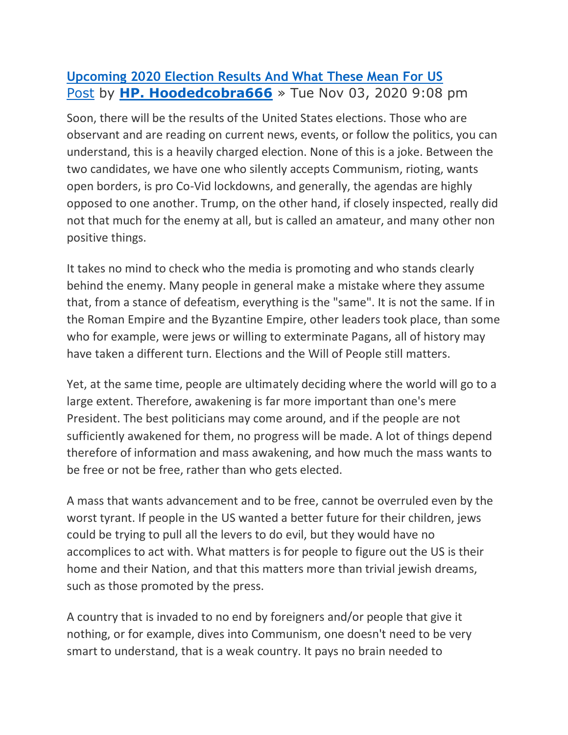## **[Upcoming 2020 Election Results And What These Mean For US](https://ancient-forums.com/viewtopic.php?p=200376#p200376)** [Post](https://ancient-forums.com/viewtopic.php?p=200376#p200376) by **[HP. Hoodedcobra666](https://ancient-forums.com/memberlist.php?mode=viewprofile&u=48)** » Tue Nov 03, 2020 9:08 pm

Soon, there will be the results of the United States elections. Those who are observant and are reading on current news, events, or follow the politics, you can understand, this is a heavily charged election. None of this is a joke. Between the two candidates, we have one who silently accepts Communism, rioting, wants open borders, is pro Co-Vid lockdowns, and generally, the agendas are highly opposed to one another. Trump, on the other hand, if closely inspected, really did not that much for the enemy at all, but is called an amateur, and many other non positive things.

It takes no mind to check who the media is promoting and who stands clearly behind the enemy. Many people in general make a mistake where they assume that, from a stance of defeatism, everything is the "same". It is not the same. If in the Roman Empire and the Byzantine Empire, other leaders took place, than some who for example, were jews or willing to exterminate Pagans, all of history may have taken a different turn. Elections and the Will of People still matters.

Yet, at the same time, people are ultimately deciding where the world will go to a large extent. Therefore, awakening is far more important than one's mere President. The best politicians may come around, and if the people are not sufficiently awakened for them, no progress will be made. A lot of things depend therefore of information and mass awakening, and how much the mass wants to be free or not be free, rather than who gets elected.

A mass that wants advancement and to be free, cannot be overruled even by the worst tyrant. If people in the US wanted a better future for their children, jews could be trying to pull all the levers to do evil, but they would have no accomplices to act with. What matters is for people to figure out the US is their home and their Nation, and that this matters more than trivial jewish dreams, such as those promoted by the press.

A country that is invaded to no end by foreigners and/or people that give it nothing, or for example, dives into Communism, one doesn't need to be very smart to understand, that is a weak country. It pays no brain needed to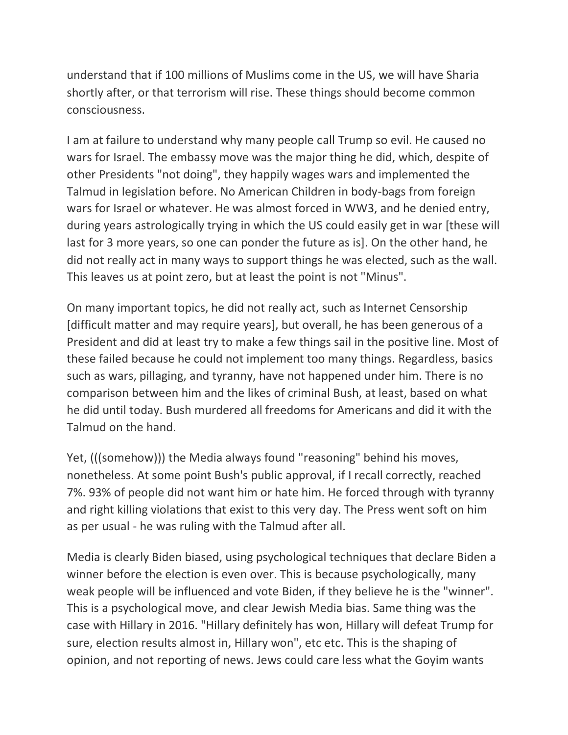understand that if 100 millions of Muslims come in the US, we will have Sharia shortly after, or that terrorism will rise. These things should become common consciousness.

I am at failure to understand why many people call Trump so evil. He caused no wars for Israel. The embassy move was the major thing he did, which, despite of other Presidents "not doing", they happily wages wars and implemented the Talmud in legislation before. No American Children in body-bags from foreign wars for Israel or whatever. He was almost forced in WW3, and he denied entry, during years astrologically trying in which the US could easily get in war [these will last for 3 more years, so one can ponder the future as is]. On the other hand, he did not really act in many ways to support things he was elected, such as the wall. This leaves us at point zero, but at least the point is not "Minus".

On many important topics, he did not really act, such as Internet Censorship [difficult matter and may require years], but overall, he has been generous of a President and did at least try to make a few things sail in the positive line. Most of these failed because he could not implement too many things. Regardless, basics such as wars, pillaging, and tyranny, have not happened under him. There is no comparison between him and the likes of criminal Bush, at least, based on what he did until today. Bush murdered all freedoms for Americans and did it with the Talmud on the hand.

Yet, (((somehow))) the Media always found "reasoning" behind his moves, nonetheless. At some point Bush's public approval, if I recall correctly, reached 7%. 93% of people did not want him or hate him. He forced through with tyranny and right killing violations that exist to this very day. The Press went soft on him as per usual - he was ruling with the Talmud after all.

Media is clearly Biden biased, using psychological techniques that declare Biden a winner before the election is even over. This is because psychologically, many weak people will be influenced and vote Biden, if they believe he is the "winner". This is a psychological move, and clear Jewish Media bias. Same thing was the case with Hillary in 2016. "Hillary definitely has won, Hillary will defeat Trump for sure, election results almost in, Hillary won", etc etc. This is the shaping of opinion, and not reporting of news. Jews could care less what the Goyim wants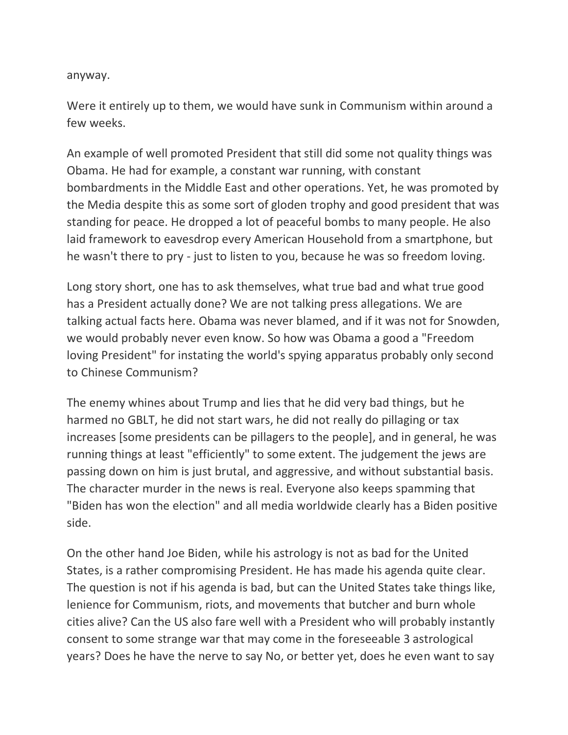anyway.

Were it entirely up to them, we would have sunk in Communism within around a few weeks.

An example of well promoted President that still did some not quality things was Obama. He had for example, a constant war running, with constant bombardments in the Middle East and other operations. Yet, he was promoted by the Media despite this as some sort of gloden trophy and good president that was standing for peace. He dropped a lot of peaceful bombs to many people. He also laid framework to eavesdrop every American Household from a smartphone, but he wasn't there to pry - just to listen to you, because he was so freedom loving.

Long story short, one has to ask themselves, what true bad and what true good has a President actually done? We are not talking press allegations. We are talking actual facts here. Obama was never blamed, and if it was not for Snowden, we would probably never even know. So how was Obama a good a "Freedom loving President" for instating the world's spying apparatus probably only second to Chinese Communism?

The enemy whines about Trump and lies that he did very bad things, but he harmed no GBLT, he did not start wars, he did not really do pillaging or tax increases [some presidents can be pillagers to the people], and in general, he was running things at least "efficiently" to some extent. The judgement the jews are passing down on him is just brutal, and aggressive, and without substantial basis. The character murder in the news is real. Everyone also keeps spamming that "Biden has won the election" and all media worldwide clearly has a Biden positive side.

On the other hand Joe Biden, while his astrology is not as bad for the United States, is a rather compromising President. He has made his agenda quite clear. The question is not if his agenda is bad, but can the United States take things like, lenience for Communism, riots, and movements that butcher and burn whole cities alive? Can the US also fare well with a President who will probably instantly consent to some strange war that may come in the foreseeable 3 astrological years? Does he have the nerve to say No, or better yet, does he even want to say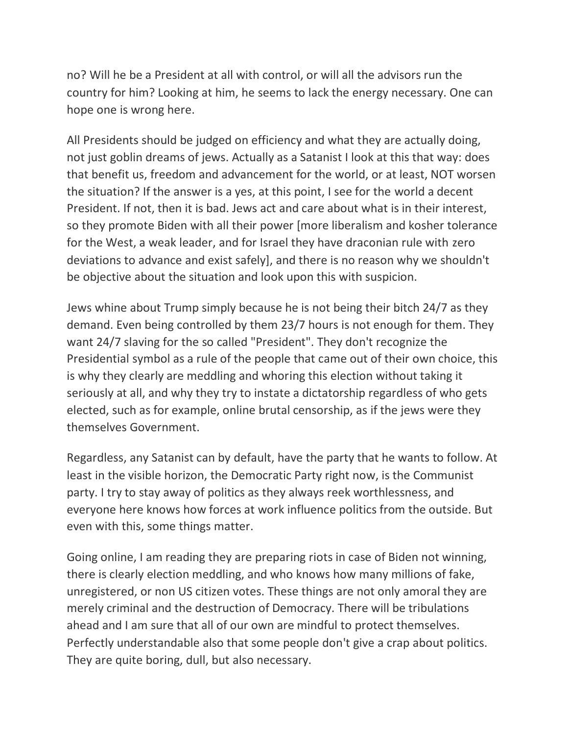no? Will he be a President at all with control, or will all the advisors run the country for him? Looking at him, he seems to lack the energy necessary. One can hope one is wrong here.

All Presidents should be judged on efficiency and what they are actually doing, not just goblin dreams of jews. Actually as a Satanist I look at this that way: does that benefit us, freedom and advancement for the world, or at least, NOT worsen the situation? If the answer is a yes, at this point, I see for the world a decent President. If not, then it is bad. Jews act and care about what is in their interest, so they promote Biden with all their power [more liberalism and kosher tolerance for the West, a weak leader, and for Israel they have draconian rule with zero deviations to advance and exist safely], and there is no reason why we shouldn't be objective about the situation and look upon this with suspicion.

Jews whine about Trump simply because he is not being their bitch 24/7 as they demand. Even being controlled by them 23/7 hours is not enough for them. They want 24/7 slaving for the so called "President". They don't recognize the Presidential symbol as a rule of the people that came out of their own choice, this is why they clearly are meddling and whoring this election without taking it seriously at all, and why they try to instate a dictatorship regardless of who gets elected, such as for example, online brutal censorship, as if the jews were they themselves Government.

Regardless, any Satanist can by default, have the party that he wants to follow. At least in the visible horizon, the Democratic Party right now, is the Communist party. I try to stay away of politics as they always reek worthlessness, and everyone here knows how forces at work influence politics from the outside. But even with this, some things matter.

Going online, I am reading they are preparing riots in case of Biden not winning, there is clearly election meddling, and who knows how many millions of fake, unregistered, or non US citizen votes. These things are not only amoral they are merely criminal and the destruction of Democracy. There will be tribulations ahead and I am sure that all of our own are mindful to protect themselves. Perfectly understandable also that some people don't give a crap about politics. They are quite boring, dull, but also necessary.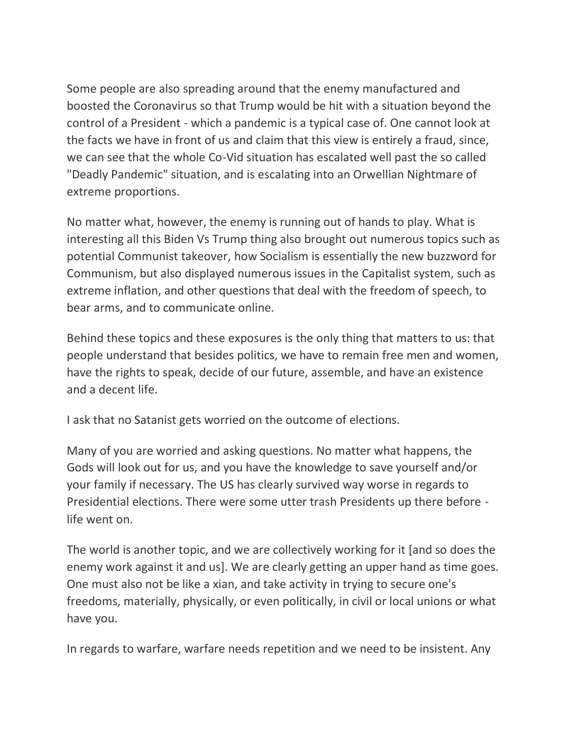Some people are also spreading around that the enemy manufactured and boosted the Coronavirus so that Trump would be hit with a situation beyond the control of a President - which a pandemic is a typical case of. One cannot look at the facts we have in front of us and claim that this view is entirely a fraud, since, we can see that the whole Co-Vid situation has escalated well past the so called "Deadly Pandemic" situation, and is escalating into an Orwellian Nightmare of extreme proportions.

No matter what, however, the enemy is running out of hands to play. What is interesting all this Biden Vs Trump thing also brought out numerous topics such as potential Communist takeover, how Socialism is essentially the new buzzword for Communism, but also displayed numerous issues in the Capitalist system, such as extreme inflation, and other questions that deal with the freedom of speech, to bear arms, and to communicate online.

Behind these topics and these exposures is the only thing that matters to us: that people understand that besides politics, we have to remain free men and women, have the rights to speak, decide of our future, assemble, and have an existence and a decent life.

I ask that no Satanist gets worried on the outcome of elections.

Many of you are worried and asking questions. No matter what happens, the Gods will look out for us, and you have the knowledge to save yourself and/or your family if necessary. The US has clearly survived way worse in regards to Presidential elections. There were some utter trash Presidents up there before life went on.

The world is another topic, and we are collectively working for it [and so does the enemy work against it and us]. We are clearly getting an upper hand as time goes. One must also not be like a xian, and take activity in trying to secure one's freedoms, materially, physically, or even politically, in civil or local unions or what have you.

In regards to warfare, warfare needs repetition and we need to be insistent. Any